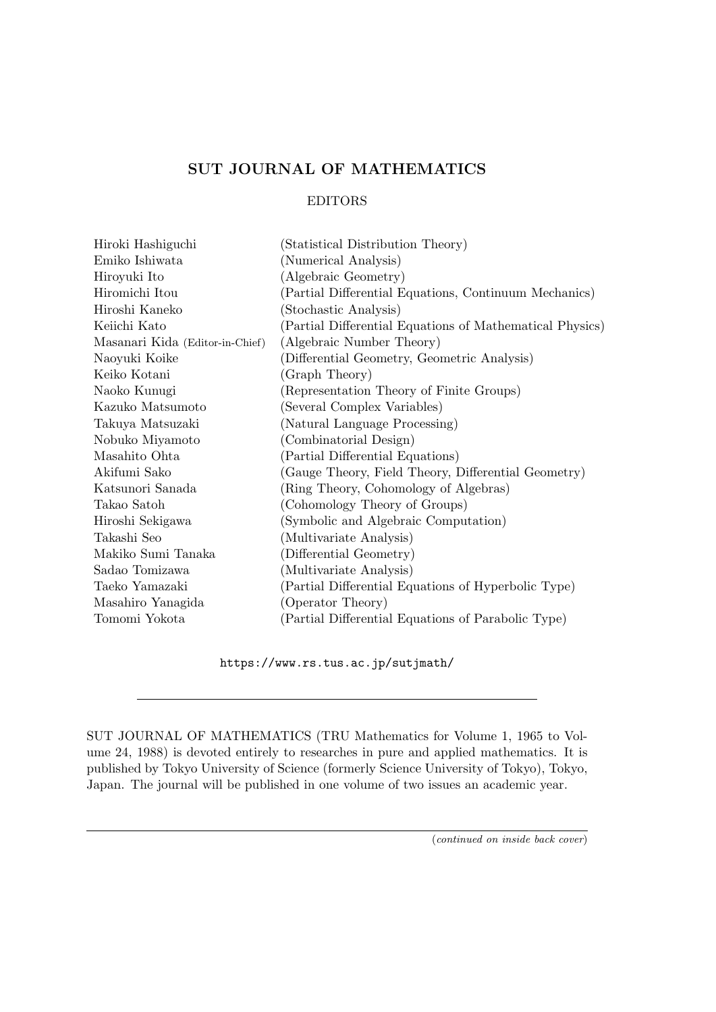## **SUT JOURNAL OF MATHEMATICS**

## EDITORS

| Hiroki Hashiguchi               | (Statistical Distribution Theory)                        |
|---------------------------------|----------------------------------------------------------|
| Emiko Ishiwata                  | (Numerical Analysis)                                     |
| Hiroyuki Ito                    | (Algebraic Geometry)                                     |
| Hiromichi Itou                  | (Partial Differential Equations, Continuum Mechanics)    |
| Hiroshi Kaneko                  | (Stochastic Analysis)                                    |
| Keiichi Kato                    | (Partial Differential Equations of Mathematical Physics) |
| Masanari Kida (Editor-in-Chief) | (Algebraic Number Theory)                                |
| Naoyuki Koike                   | (Differential Geometry, Geometric Analysis)              |
| Keiko Kotani                    | (Graph Theory)                                           |
| Naoko Kunugi                    | (Representation Theory of Finite Groups)                 |
| Kazuko Matsumoto                | (Several Complex Variables)                              |
| Takuya Matsuzaki                | (Natural Language Processing)                            |
| Nobuko Miyamoto                 | (Combinatorial Design)                                   |
| Masahito Ohta                   | (Partial Differential Equations)                         |
| Akifumi Sako                    | (Gauge Theory, Field Theory, Differential Geometry)      |
| Katsunori Sanada                | (Ring Theory, Cohomology of Algebras)                    |
| Takao Satoh                     | (Cohomology Theory of Groups)                            |
| Hiroshi Sekigawa                | (Symbolic and Algebraic Computation)                     |
| Takashi Seo                     | (Multivariate Analysis)                                  |
| Makiko Sumi Tanaka              | (Differential Geometry)                                  |
| Sadao Tomizawa                  | (Multivariate Analysis)                                  |
| Taeko Yamazaki                  | (Partial Differential Equations of Hyperbolic Type)      |
| Masahiro Yanagida               | (Operator Theory)                                        |
| Tomomi Yokota                   | (Partial Differential Equations of Parabolic Type)       |

https://www.rs.tus.ac.jp/sutjmath/

SUT JOURNAL OF MATHEMATICS (TRU Mathematics for Volume 1, 1965 to Volume 24, 1988) is devoted entirely to researches in pure and applied mathematics. It is published by Tokyo University of Science (formerly Science University of Tokyo), Tokyo, Japan. The journal will be published in one volume of two issues an academic year.

(*continued on inside back cover*)